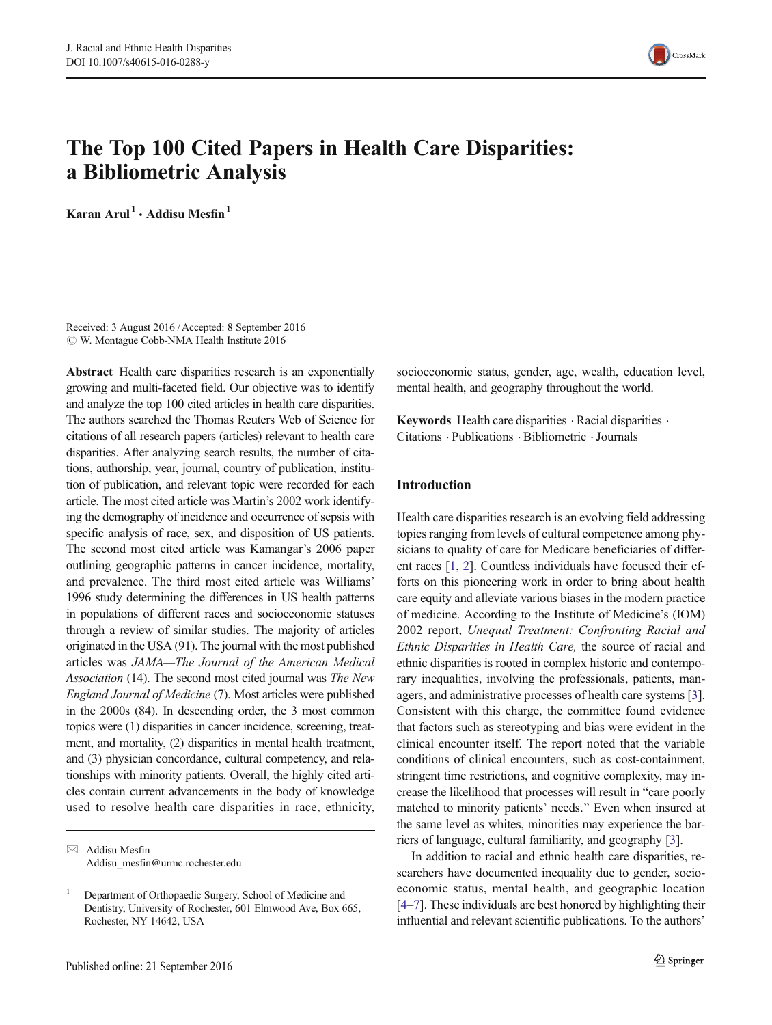

# The Top 100 Cited Papers in Health Care Disparities: a Bibliometric Analysis

Karan Arul<sup>1</sup> . Addisu Mesfin<sup>1</sup>

Received: 3 August 2016 /Accepted: 8 September 2016  $\odot$  W. Montague Cobb-NMA Health Institute 2016

Abstract Health care disparities research is an exponentially growing and multi-faceted field. Our objective was to identify and analyze the top 100 cited articles in health care disparities. The authors searched the Thomas Reuters Web of Science for citations of all research papers (articles) relevant to health care disparities. After analyzing search results, the number of citations, authorship, year, journal, country of publication, institution of publication, and relevant topic were recorded for each article. The most cited article was Martin's 2002 work identifying the demography of incidence and occurrence of sepsis with specific analysis of race, sex, and disposition of US patients. The second most cited article was Kamangar's 2006 paper outlining geographic patterns in cancer incidence, mortality, and prevalence. The third most cited article was Williams' 1996 study determining the differences in US health patterns in populations of different races and socioeconomic statuses through a review of similar studies. The majority of articles originated in the USA (91). The journal with the most published articles was JAMA—The Journal of the American Medical Association (14). The second most cited journal was The New England Journal of Medicine (7). Most articles were published in the 2000s (84). In descending order, the 3 most common topics were (1) disparities in cancer incidence, screening, treatment, and mortality, (2) disparities in mental health treatment, and (3) physician concordance, cultural competency, and relationships with minority patients. Overall, the highly cited articles contain current advancements in the body of knowledge used to resolve health care disparities in race, ethnicity, socioeconomic status, gender, age, wealth, education level, mental health, and geography throughout the world.

Keywords Health care disparities  $\cdot$  Racial disparities  $\cdot$ Citations . Publications . Bibliometric .Journals

### Introduction

Health care disparities research is an evolving field addressing topics ranging from levels of cultural competence among physicians to quality of care for Medicare beneficiaries of different races [\[1,](#page-10-0) [2](#page-10-0)]. Countless individuals have focused their efforts on this pioneering work in order to bring about health care equity and alleviate various biases in the modern practice of medicine. According to the Institute of Medicine's (IOM) 2002 report, Unequal Treatment: Confronting Racial and Ethnic Disparities in Health Care, the source of racial and ethnic disparities is rooted in complex historic and contemporary inequalities, involving the professionals, patients, managers, and administrative processes of health care systems [[3\]](#page-10-0). Consistent with this charge, the committee found evidence that factors such as stereotyping and bias were evident in the clinical encounter itself. The report noted that the variable conditions of clinical encounters, such as cost-containment, stringent time restrictions, and cognitive complexity, may increase the likelihood that processes will result in "care poorly" matched to minority patients' needs.^ Even when insured at the same level as whites, minorities may experience the barriers of language, cultural familiarity, and geography [[3\]](#page-10-0).

In addition to racial and ethnic health care disparities, researchers have documented inequality due to gender, socioeconomic status, mental health, and geographic location [\[4](#page-10-0)–[7\]](#page-10-0). These individuals are best honored by highlighting their influential and relevant scientific publications. To the authors'

 $\boxtimes$  Addisu Mesfin Addisu\_mesfin@urmc.rochester.edu

<sup>1</sup> Department of Orthopaedic Surgery, School of Medicine and Dentistry, University of Rochester, 601 Elmwood Ave, Box 665, Rochester, NY 14642, USA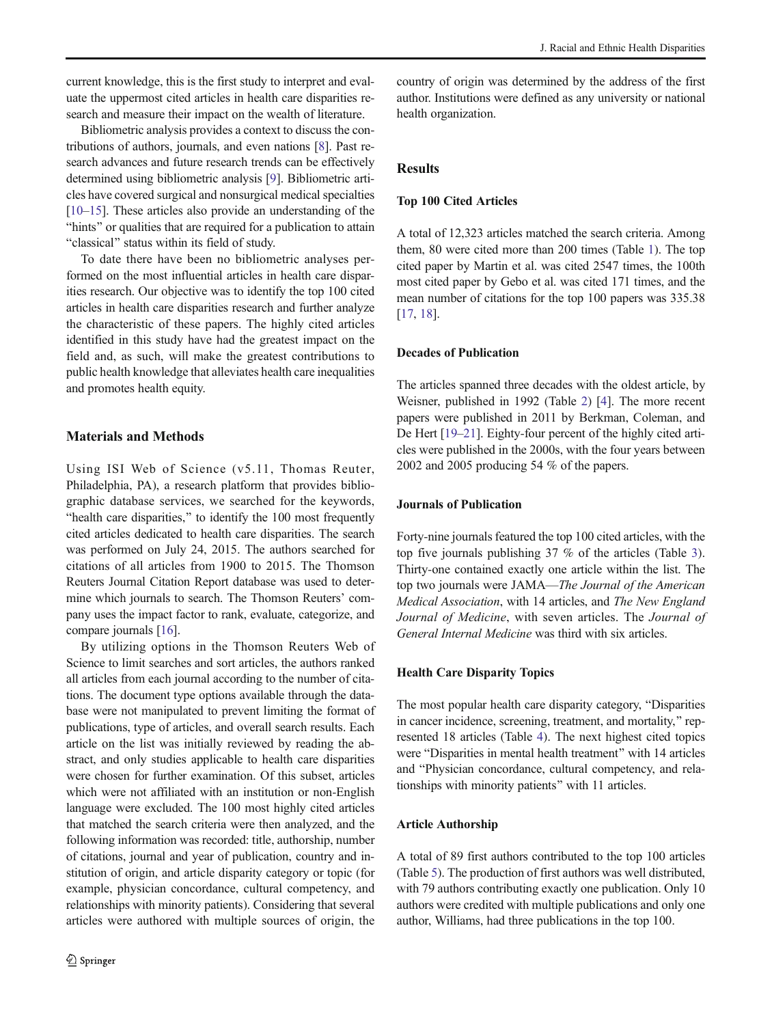current knowledge, this is the first study to interpret and evaluate the uppermost cited articles in health care disparities research and measure their impact on the wealth of literature.

Bibliometric analysis provides a context to discuss the contributions of authors, journals, and even nations [[8\]](#page-10-0). Past research advances and future research trends can be effectively determined using bibliometric analysis [\[9](#page-10-0)]. Bibliometric articles have covered surgical and nonsurgical medical specialties [\[10](#page-10-0)–[15\]](#page-10-0). These articles also provide an understanding of the "hints" or qualities that are required for a publication to attain "classical" status within its field of study.

To date there have been no bibliometric analyses performed on the most influential articles in health care disparities research. Our objective was to identify the top 100 cited articles in health care disparities research and further analyze the characteristic of these papers. The highly cited articles identified in this study have had the greatest impact on the field and, as such, will make the greatest contributions to public health knowledge that alleviates health care inequalities and promotes health equity.

# Materials and Methods

Using ISI Web of Science (v5.11, Thomas Reuter, Philadelphia, PA), a research platform that provides bibliographic database services, we searched for the keywords, "health care disparities," to identify the 100 most frequently cited articles dedicated to health care disparities. The search was performed on July 24, 2015. The authors searched for citations of all articles from 1900 to 2015. The Thomson Reuters Journal Citation Report database was used to determine which journals to search. The Thomson Reuters' company uses the impact factor to rank, evaluate, categorize, and compare journals [[16\]](#page-10-0).

By utilizing options in the Thomson Reuters Web of Science to limit searches and sort articles, the authors ranked all articles from each journal according to the number of citations. The document type options available through the database were not manipulated to prevent limiting the format of publications, type of articles, and overall search results. Each article on the list was initially reviewed by reading the abstract, and only studies applicable to health care disparities were chosen for further examination. Of this subset, articles which were not affiliated with an institution or non-English language were excluded. The 100 most highly cited articles that matched the search criteria were then analyzed, and the following information was recorded: title, authorship, number of citations, journal and year of publication, country and institution of origin, and article disparity category or topic (for example, physician concordance, cultural competency, and relationships with minority patients). Considering that several articles were authored with multiple sources of origin, the

country of origin was determined by the address of the first author. Institutions were defined as any university or national health organization.

# Results

### Top 100 Cited Articles

A total of 12,323 articles matched the search criteria. Among them, 80 were cited more than 200 times (Table [1\)](#page-2-0). The top cited paper by Martin et al. was cited 2547 times, the 100th most cited paper by Gebo et al. was cited 171 times, and the mean number of citations for the top 100 papers was 335.38 [\[17](#page-10-0), [18\]](#page-10-0).

# Decades of Publication

The articles spanned three decades with the oldest article, by Weisner, published in 1992 (Table [2\)](#page-5-0) [[4\]](#page-10-0). The more recent papers were published in 2011 by Berkman, Coleman, and De Hert [\[19](#page-10-0)–[21\]](#page-10-0). Eighty-four percent of the highly cited articles were published in the 2000s, with the four years between 2002 and 2005 producing 54 % of the papers.

### Journals of Publication

Forty-nine journals featured the top 100 cited articles, with the top five journals publishing 37 % of the articles (Table [3\)](#page-6-0). Thirty-one contained exactly one article within the list. The top two journals were JAMA—The Journal of the American Medical Association, with 14 articles, and The New England Journal of Medicine, with seven articles. The Journal of General Internal Medicine was third with six articles.

### Health Care Disparity Topics

The most popular health care disparity category, "Disparities in cancer incidence, screening, treatment, and mortality," represented 18 articles (Table [4](#page-6-0)). The next highest cited topics were "Disparities in mental health treatment" with 14 articles and "Physician concordance, cultural competency, and relationships with minority patients" with 11 articles.

### Article Authorship

A total of 89 first authors contributed to the top 100 articles (Table [5\)](#page-7-0). The production of first authors was well distributed, with 79 authors contributing exactly one publication. Only 10 authors were credited with multiple publications and only one author, Williams, had three publications in the top 100.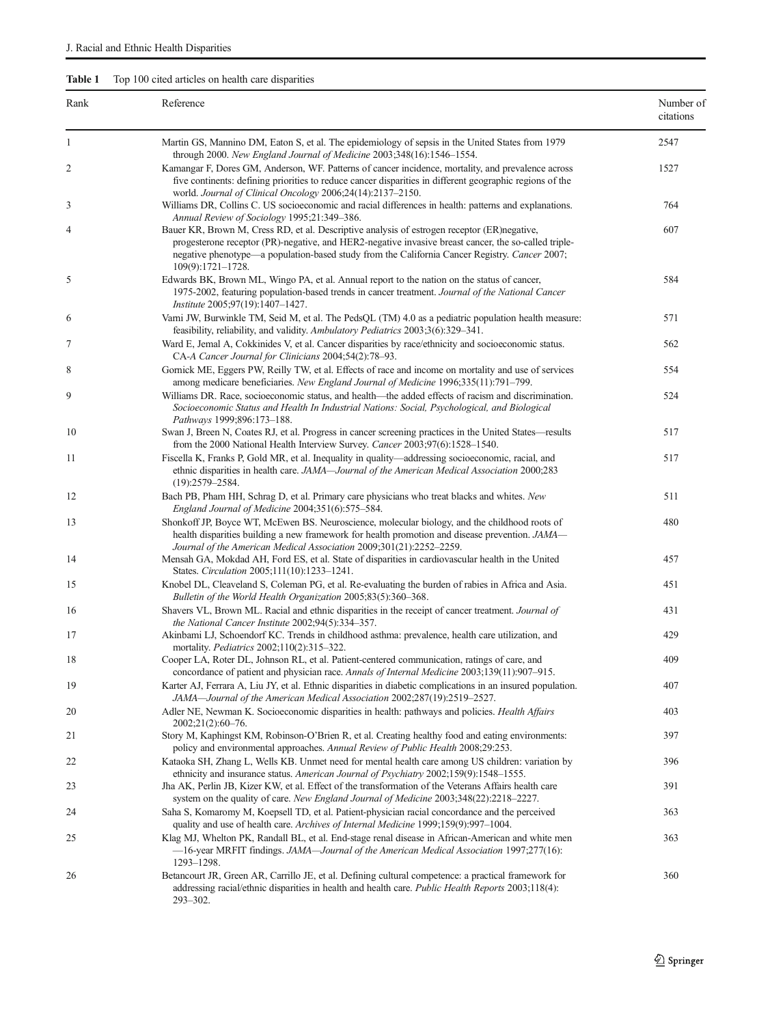# <span id="page-2-0"></span>Table 1 Top 100 cited articles on health care disparities

| Rank | Reference                                                                                                                                                                                                                                                                                                                 | Number of<br>citations |
|------|---------------------------------------------------------------------------------------------------------------------------------------------------------------------------------------------------------------------------------------------------------------------------------------------------------------------------|------------------------|
| 1    | Martin GS, Mannino DM, Eaton S, et al. The epidemiology of sepsis in the United States from 1979<br>through 2000. New England Journal of Medicine 2003;348(16):1546-1554.                                                                                                                                                 | 2547                   |
| 2    | Kamangar F, Dores GM, Anderson, WF. Patterns of cancer incidence, mortality, and prevalence across<br>five continents: defining priorities to reduce cancer disparities in different geographic regions of the<br>world. Journal of Clinical Oncology 2006;24(14):2137-2150.                                              | 1527                   |
| 3    | Williams DR, Collins C. US socioeconomic and racial differences in health: patterns and explanations.<br>Annual Review of Sociology 1995;21:349-386.                                                                                                                                                                      | 764                    |
| 4    | Bauer KR, Brown M, Cress RD, et al. Descriptive analysis of estrogen receptor (ER)negative,<br>progesterone receptor (PR)-negative, and HER2-negative invasive breast cancer, the so-called triple-<br>negative phenotype—a population-based study from the California Cancer Registry. Cancer 2007;<br>109(9):1721-1728. | 607                    |
| 5    | Edwards BK, Brown ML, Wingo PA, et al. Annual report to the nation on the status of cancer,<br>1975-2002, featuring population-based trends in cancer treatment. Journal of the National Cancer<br>Institute 2005;97(19):1407-1427.                                                                                       | 584                    |
| 6    | Varni JW, Burwinkle TM, Seid M, et al. The PedsQL (TM) 4.0 as a pediatric population health measure:<br>feasibility, reliability, and validity. Ambulatory Pediatrics 2003;3(6):329-341.                                                                                                                                  | 571                    |
| 7    | Ward E, Jemal A, Cokkinides V, et al. Cancer disparities by race/ethnicity and socioeconomic status.<br>CA-A Cancer Journal for Clinicians 2004;54(2):78-93.                                                                                                                                                              | 562                    |
| 8    | Gornick ME, Eggers PW, Reilly TW, et al. Effects of race and income on mortality and use of services<br>among medicare beneficiaries. New England Journal of Medicine 1996;335(11):791-799.                                                                                                                               | 554                    |
| 9    | Williams DR. Race, socioeconomic status, and health—the added effects of racism and discrimination.<br>Socioeconomic Status and Health In Industrial Nations: Social, Psychological, and Biological<br>Pathways 1999;896:173-188.                                                                                         | 524                    |
| 10   | Swan J, Breen N, Coates RJ, et al. Progress in cancer screening practices in the United States—results<br>from the 2000 National Health Interview Survey. Cancer 2003;97(6):1528-1540.                                                                                                                                    | 517                    |
| 11   | Fiscella K, Franks P, Gold MR, et al. Inequality in quality-addressing socioeconomic, racial, and<br>ethnic disparities in health care. JAMA-Journal of the American Medical Association 2000;283<br>$(19):2579 - 2584.$                                                                                                  | 517                    |
| 12   | Bach PB, Pham HH, Schrag D, et al. Primary care physicians who treat blacks and whites. New<br>England Journal of Medicine 2004;351(6):575-584.                                                                                                                                                                           | 511                    |
| 13   | Shonkoff JP, Boyce WT, McEwen BS. Neuroscience, molecular biology, and the childhood roots of<br>health disparities building a new framework for health promotion and disease prevention. JAMA-<br>Journal of the American Medical Association 2009;301(21):2252-2259.                                                    | 480                    |
| 14   | Mensah GA, Mokdad AH, Ford ES, et al. State of disparities in cardiovascular health in the United<br>States. <i>Circulation</i> 2005;111(10):1233-1241.                                                                                                                                                                   | 457                    |
| 15   | Knobel DL, Cleaveland S, Coleman PG, et al. Re-evaluating the burden of rabies in Africa and Asia.<br>Bulletin of the World Health Organization 2005;83(5):360-368.                                                                                                                                                       | 451                    |
| 16   | Shavers VL, Brown ML. Racial and ethnic disparities in the receipt of cancer treatment. Journal of<br>the National Cancer Institute 2002;94(5):334-357.                                                                                                                                                                   | 431                    |
| 17   | Akinbami LJ, Schoendorf KC. Trends in childhood asthma: prevalence, health care utilization, and<br>mortality. <i>Pediatrics</i> 2002;110(2):315–322.                                                                                                                                                                     | 429                    |
| 18   | Cooper LA, Roter DL, Johnson RL, et al. Patient-centered communication, ratings of care, and<br>concordance of patient and physician race. Annals of Internal Medicine 2003;139(11):907-915.                                                                                                                              | 409                    |
| 19   | Karter AJ, Ferrara A, Liu JY, et al. Ethnic disparities in diabetic complications in an insured population.<br>JAMA-Journal of the American Medical Association 2002;287(19):2519-2527.                                                                                                                                   | 407                    |
| 20   | Adler NE, Newman K. Socioeconomic disparities in health: pathways and policies. Health Affairs<br>2002;21(2):60–76.                                                                                                                                                                                                       | 403                    |
| 21   | Story M, Kaphingst KM, Robinson-O'Brien R, et al. Creating healthy food and eating environments:<br>policy and environmental approaches. Annual Review of Public Health 2008;29:253.                                                                                                                                      | 397                    |
| 22   | Kataoka SH, Zhang L, Wells KB. Unmet need for mental health care among US children: variation by<br>ethnicity and insurance status. American Journal of Psychiatry 2002;159(9):1548–1555.                                                                                                                                 | 396                    |
| 23   | Jha AK, Perlin JB, Kizer KW, et al. Effect of the transformation of the Veterans Affairs health care<br>system on the quality of care. New England Journal of Medicine 2003;348(22):2218-2227.                                                                                                                            | 391                    |
| 24   | Saha S, Komaromy M, Koepsell TD, et al. Patient-physician racial concordance and the perceived<br>quality and use of health care. Archives of Internal Medicine 1999;159(9):997-1004.                                                                                                                                     | 363                    |
| 25   | Klag MJ, Whelton PK, Randall BL, et al. End-stage renal disease in African-American and white men<br>-16-year MRFIT findings. JAMA-Journal of the American Medical Association 1997;277(16):<br>1293-1298.                                                                                                                | 363                    |
| 26   | Betancourt JR, Green AR, Carrillo JE, et al. Defining cultural competence: a practical framework for<br>addressing racial/ethnic disparities in health and health care. Public Health Reports 2003;118(4):<br>293–302.                                                                                                    | 360                    |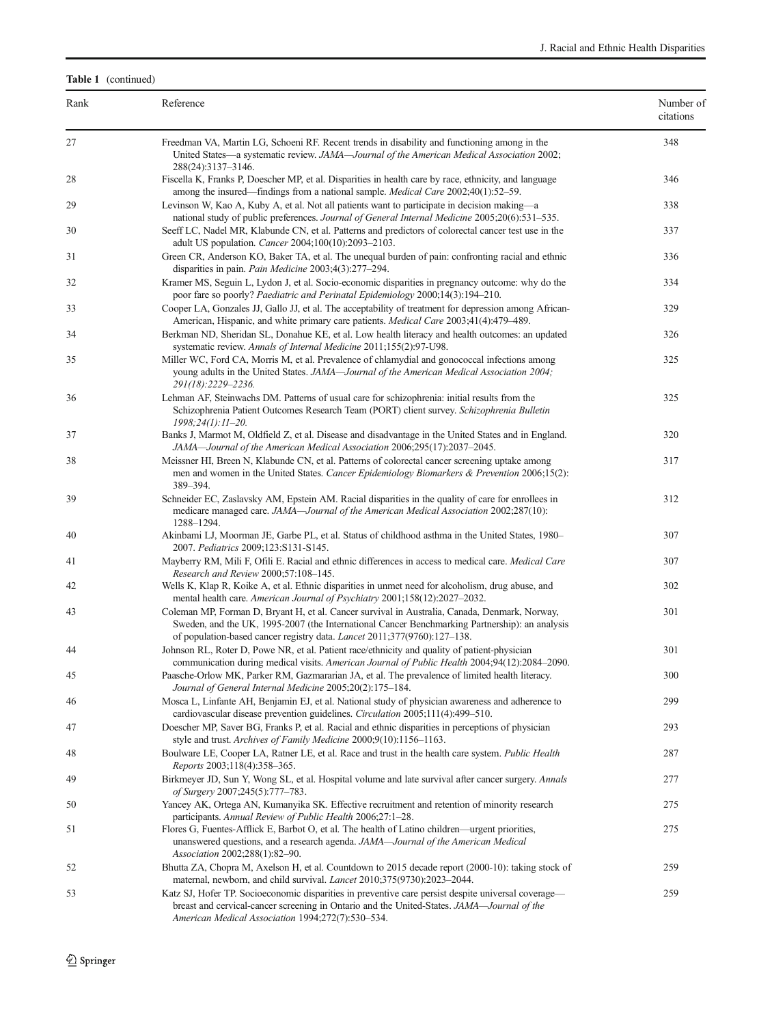#### Rank Reference Reference Reference Reference Research Reference Research Reference Reference Reference Reference citations 27 Freedman VA, Martin LG, Schoeni RF. Recent trends in disability and functioning among in the United States—a systematic review. JAMA—Journal of the American Medical Association 2002; 288(24):3137–3146. 348 28 Fiscella K, Franks P, Doescher MP, et al. Disparities in health care by race, ethnicity, and language among the insured—findings from a national sample. Medical Care 2002;40(1):52–59. 346 29 Levinson W, Kao A, Kuby A, et al. Not all patients want to participate in decision making—a national study of public preferences. Journal of General Internal Medicine 2005;20(6):531–535. 338 30 Seeff LC, Nadel MR, Klabunde CN, et al. Patterns and predictors of colorectal cancer test use in the adult US population. Cancer 2004;100(10):2093–2103. 337 31 Green CR, Anderson KO, Baker TA, et al. The unequal burden of pain: confronting racial and ethnic disparities in pain. Pain Medicine 2003;4(3):277–294. 336 32 Kramer MS, Seguin L, Lydon J, et al. Socio-economic disparities in pregnancy outcome: why do the poor fare so poorly? Paediatric and Perinatal Epidemiology 2000;14(3):194–210. 334 33 Cooper LA, Gonzales JJ, Gallo JJ, et al. The acceptability of treatment for depression among African-American, Hispanic, and white primary care patients. Medical Care 2003;41(4):479–489. 329 34 Berkman ND, Sheridan SL, Donahue KE, et al. Low health literacy and health outcomes: an updated systematic review. Annals of Internal Medicine 2011;155(2):97-U98. 326 35 Miller WC, Ford CA, Morris M, et al. Prevalence of chlamydial and gonococcal infections among young adults in the United States. JAMA—Journal of the American Medical Association 2004; 291(18):2229–2236. 325 36 Lehman AF, Steinwachs DM. Patterns of usual care for schizophrenia: initial results from the Schizophrenia Patient Outcomes Research Team (PORT) client survey. Schizophrenia Bulletin 1998;24(1):11–20. 325 37 Banks J, Marmot M, Oldfield Z, et al. Disease and disadvantage in the United States and in England. JAMA—Journal of the American Medical Association 2006;295(17):2037–2045. 320 38 Meissner HI, Breen N, Klabunde CN, et al. Patterns of colorectal cancer screening uptake among men and women in the United States. Cancer Epidemiology Biomarkers & Prevention 2006;15(2): 389–394. 317 39 Schneider EC, Zaslavsky AM, Epstein AM. Racial disparities in the quality of care for enrollees in medicare managed care. JAMA—Journal of the American Medical Association 2002;287(10): 1288–1294. 312 40 Akinbami LJ, Moorman JE, Garbe PL, et al. Status of childhood asthma in the United States, 1980– 2007. Pediatrics 2009;123:S131-S145. 307 41 Mayberry RM, Mili F, Ofili E. Racial and ethnic differences in access to medical care. Medical Care Research and Review 2000;57:108–145. 307 42 Wells K, Klap R, Koike A, et al. Ethnic disparities in unmet need for alcoholism, drug abuse, and mental health care. American Journal of Psychiatry 2001;158(12):2027–2032. 302 43 Coleman MP, Forman D, Bryant H, et al. Cancer survival in Australia, Canada, Denmark, Norway, Sweden, and the UK, 1995-2007 (the International Cancer Benchmarking Partnership): an analysis of population-based cancer registry data. Lancet 2011;377(9760):127–138. 301 44 Johnson RL, Roter D, Powe NR, et al. Patient race/ethnicity and quality of patient-physician communication during medical visits. American Journal of Public Health 2004;94(12):2084–2090. 301 45 Paasche-Orlow MK, Parker RM, Gazmararian JA, et al. The prevalence of limited health literacy. Journal of General Internal Medicine 2005;20(2):175–184. 300 46 Mosca L, Linfante AH, Benjamin EJ, et al. National study of physician awareness and adherence to cardiovascular disease prevention guidelines. Circulation 2005;111(4):499–510. 299 47 Doescher MP, Saver BG, Franks P, et al. Racial and ethnic disparities in perceptions of physician style and trust. Archives of Family Medicine 2000;9(10):1156–1163. 293 48 Boulware LE, Cooper LA, Ratner LE, et al. Race and trust in the health care system. Public Health Reports 2003;118(4):358–365. 287 49 Birkmeyer JD, Sun Y, Wong SL, et al. Hospital volume and late survival after cancer surgery. Annals of Surgery 2007;245(5):777–783. 277 50 Yancey AK, Ortega AN, Kumanyika SK. Effective recruitment and retention of minority research participants. Annual Review of Public Health 2006;27:1–28. 275 51 Flores G, Fuentes-Afflick E, Barbot O, et al. The health of Latino children—urgent priorities, unanswered questions, and a research agenda. JAMA—Journal of the American Medical Association 2002;288(1):82–90. 275 52 Bhutta ZA, Chopra M, Axelson H, et al. Countdown to 2015 decade report (2000-10): taking stock of maternal, newborn, and child survival. Lancet 2010;375(9730):2023–2044. 259 53 Katz SJ, Hofer TP. Socioeconomic disparities in preventive care persist despite universal coverage breast and cervical-cancer screening in Ontario and the United-States. JAMA—Journal of the American Medical Association 1994;272(7):530–534. 259

Table 1 (continued)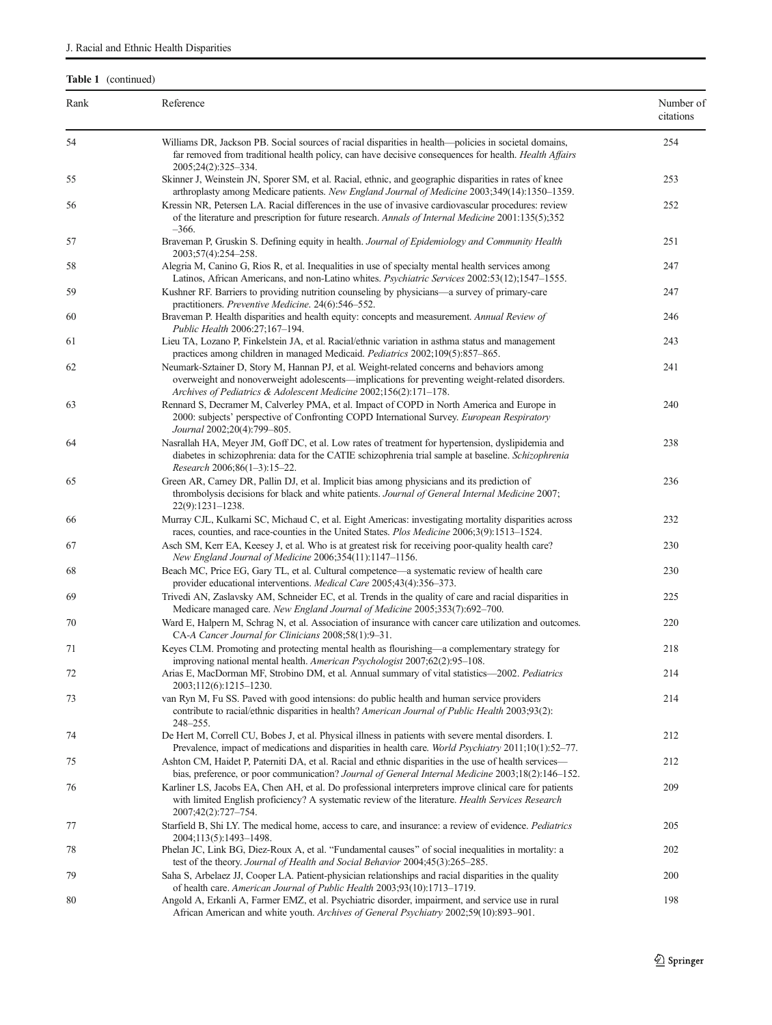| Table 1 (continued) |                                                                                                                                                                                                                                                                   |                        |  |
|---------------------|-------------------------------------------------------------------------------------------------------------------------------------------------------------------------------------------------------------------------------------------------------------------|------------------------|--|
| Rank                | Reference                                                                                                                                                                                                                                                         | Number of<br>citations |  |
| 54                  | Williams DR, Jackson PB. Social sources of racial disparities in health—policies in societal domains,<br>far removed from traditional health policy, can have decisive consequences for health. Health Affairs<br>2005;24(2):325-334.                             | 254                    |  |
| 55                  | Skinner J, Weinstein JN, Sporer SM, et al. Racial, ethnic, and geographic disparities in rates of knee<br>arthroplasty among Medicare patients. New England Journal of Medicine 2003;349(14):1350-1359.                                                           | 253                    |  |
| 56                  | Kressin NR, Petersen LA. Racial differences in the use of invasive cardiovascular procedures: review<br>of the literature and prescription for future research. Annals of Internal Medicine 2001:135(5);352<br>$-366.$                                            | 252                    |  |
| 57                  | Braveman P, Gruskin S. Defining equity in health. Journal of Epidemiology and Community Health<br>2003;57(4):254-258.                                                                                                                                             | 251                    |  |
| 58                  | Alegria M, Canino G, Rios R, et al. Inequalities in use of specialty mental health services among<br>Latinos, African Americans, and non-Latino whites. Psychiatric Services 2002:53(12);1547-1555.                                                               | 247                    |  |
| 59                  | Kushner RF. Barriers to providing nutrition counseling by physicians—a survey of primary-care<br>practitioners. Preventive Medicine. 24(6):546–552.                                                                                                               | 247                    |  |
| 60                  | Braveman P. Health disparities and health equity: concepts and measurement. Annual Review of<br>Public Health 2006:27;167-194.                                                                                                                                    | 246                    |  |
| 61                  | Lieu TA, Lozano P, Finkelstein JA, et al. Racial/ethnic variation in asthma status and management<br>practices among children in managed Medicaid. Pediatrics 2002;109(5):857-865.                                                                                | 243                    |  |
| 62                  | Neumark-Sztainer D, Story M, Hannan PJ, et al. Weight-related concerns and behaviors among<br>overweight and nonoverweight adolescents—implications for preventing weight-related disorders.<br>Archives of Pediatrics & Adolescent Medicine 2002;156(2):171-178. | 241                    |  |
| 63                  | Rennard S, Decramer M, Calverley PMA, et al. Impact of COPD in North America and Europe in<br>2000: subjects' perspective of Confronting COPD International Survey. European Respiratory<br>Journal 2002;20(4):799-805.                                           | 240                    |  |
| 64                  | Nasrallah HA, Meyer JM, Goff DC, et al. Low rates of treatment for hypertension, dyslipidemia and<br>diabetes in schizophrenia: data for the CATIE schizophrenia trial sample at baseline. Schizophrenia<br>Research 2006;86(1-3):15-22.                          | 238                    |  |
| 65                  | Green AR, Carney DR, Pallin DJ, et al. Implicit bias among physicians and its prediction of<br>thrombolysis decisions for black and white patients. Journal of General Internal Medicine 2007;<br>$22(9):1231-1238.$                                              | 236                    |  |
| 66                  | Murray CJL, Kulkarni SC, Michaud C, et al. Eight Americas: investigating mortality disparities across<br>races, counties, and race-counties in the United States. Plos Medicine 2006;3(9):1513-1524.                                                              | 232                    |  |
| 67                  | Asch SM, Kerr EA, Keesey J, et al. Who is at greatest risk for receiving poor-quality health care?<br>New England Journal of Medicine 2006;354(11):1147-1156.                                                                                                     | 230                    |  |
| 68                  | Beach MC, Price EG, Gary TL, et al. Cultural competence—a systematic review of health care<br>provider educational interventions. Medical Care 2005;43(4):356-373.                                                                                                | 230                    |  |
| 69                  | Trivedi AN, Zaslavsky AM, Schneider EC, et al. Trends in the quality of care and racial disparities in<br>Medicare managed care. New England Journal of Medicine 2005;353(7):692-700.                                                                             | 225                    |  |
| 70                  | Ward E, Halpern M, Schrag N, et al. Association of insurance with cancer care utilization and outcomes.<br>CA-A Cancer Journal for Clinicians 2008;58(1):9-31.                                                                                                    | 220                    |  |
| 71                  | Keyes CLM. Promoting and protecting mental health as flourishing—a complementary strategy for<br>improving national mental health. American Psychologist 2007;62(2):95-108.                                                                                       | 218                    |  |
| 72                  | Arias E, MacDorman MF, Strobino DM, et al. Annual summary of vital statistics-2002. Pediatrics<br>2003;112(6):1215-1230.                                                                                                                                          | 214                    |  |
| 73                  | van Ryn M, Fu SS. Paved with good intensions: do public health and human service providers<br>contribute to racial/ethnic disparities in health? American Journal of Public Health 2003;93(2):<br>$248 - 255$ .                                                   | 214                    |  |
| 74                  | De Hert M, Correll CU, Bobes J, et al. Physical illness in patients with severe mental disorders. I.<br>Prevalence, impact of medications and disparities in health care. World Psychiatry 2011;10(1):52–77.                                                      | 212                    |  |
| 75                  | Ashton CM, Haidet P, Paterniti DA, et al. Racial and ethnic disparities in the use of health services—<br>bias, preference, or poor communication? Journal of General Internal Medicine 2003;18(2):146-152.                                                       | 212                    |  |
| 76                  | Karliner LS, Jacobs EA, Chen AH, et al. Do professional interpreters improve clinical care for patients<br>with limited English proficiency? A systematic review of the literature. Health Services Research<br>2007;42(2):727-754.                               | 209                    |  |
| 77                  | Starfield B, Shi LY. The medical home, access to care, and insurance: a review of evidence. Pediatrics<br>2004;113(5):1493-1498.                                                                                                                                  | 205                    |  |
| 78                  | Phelan JC, Link BG, Diez-Roux A, et al. "Fundamental causes" of social inequalities in mortality: a<br>test of the theory. Journal of Health and Social Behavior 2004;45(3):265-285.                                                                              | 202                    |  |
| 79                  | Saha S, Arbelaez JJ, Cooper LA. Patient-physician relationships and racial disparities in the quality<br>of health care. American Journal of Public Health 2003;93(10):1713-1719.                                                                                 | 200                    |  |
| 80                  | Angold A, Erkanli A, Farmer EMZ, et al. Psychiatric disorder, impairment, and service use in rural<br>African American and white youth. Archives of General Psychiatry 2002;59(10):893-901.                                                                       | 198                    |  |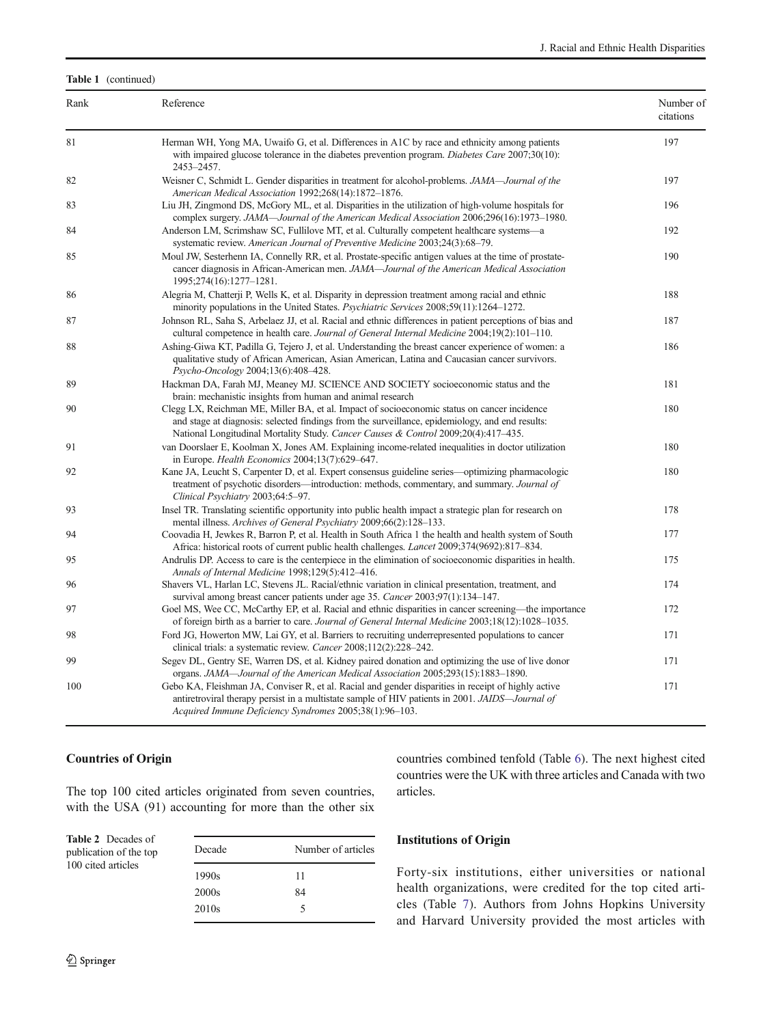#### Rank Reference Reference Reference Reference Research Reference Research Reference Reference Reference Reference citations 81 Herman WH, Yong MA, Uwaifo G, et al. Differences in A1C by race and ethnicity among patients with impaired glucose tolerance in the diabetes prevention program. Diabetes Care 2007;30(10): 2453–2457. 197 82 Weisner C, Schmidt L. Gender disparities in treatment for alcohol-problems. JAMA—Journal of the American Medical Association 1992;268(14):1872–1876. 197 83 Liu JH, Zingmond DS, McGory ML, et al. Disparities in the utilization of high-volume hospitals for complex surgery. JAMA—Journal of the American Medical Association 2006;296(16):1973–1980. 196 84 Anderson LM, Scrimshaw SC, Fullilove MT, et al. Culturally competent healthcare systems—a systematic review. American Journal of Preventive Medicine 2003;24(3):68–79. 192 85 Moul JW, Sesterhenn IA, Connelly RR, et al. Prostate-specific antigen values at the time of prostatecancer diagnosis in African-American men. JAMA—Journal of the American Medical Association 1995;274(16):1277–1281. 190 86 Alegria M, Chatterji P, Wells K, et al. Disparity in depression treatment among racial and ethnic minority populations in the United States. Psychiatric Services 2008;59(11):1264–1272. 188 87 Johnson RL, Saha S, Arbelaez JJ, et al. Racial and ethnic differences in patient perceptions of bias and cultural competence in health care. Journal of General Internal Medicine 2004;19(2):101–110. 187 88 Ashing-Giwa KT, Padilla G, Tejero J, et al. Understanding the breast cancer experience of women: a qualitative study of African American, Asian American, Latina and Caucasian cancer survivors. Psycho-Oncology 2004;13(6):408–428. 186 89 Hackman DA, Farah MJ, Meaney MJ. SCIENCE AND SOCIETY socioeconomic status and the brain: mechanistic insights from human and animal research 181 90 Clegg LX, Reichman ME, Miller BA, et al. Impact of socioeconomic status on cancer incidence and stage at diagnosis: selected findings from the surveillance, epidemiology, and end results: National Longitudinal Mortality Study. Cancer Causes & Control 2009;20(4):417–435. 180 91 van Doorslaer E, Koolman X, Jones AM. Explaining income-related inequalities in doctor utilization in Europe. Health Economics 2004;13(7):629–647. 180 92 Kane JA, Leucht S, Carpenter D, et al. Expert consensus guideline series—optimizing pharmacologic treatment of psychotic disorders—introduction: methods, commentary, and summary. Journal of Clinical Psychiatry 2003;64:5–97. 180 93 Insel TR. Translating scientific opportunity into public health impact a strategic plan for research on mental illness. Archives of General Psychiatry 2009;66(2):128–133. 178 94 Coovadia H, Jewkes R, Barron P, et al. Health in South Africa 1 the health and health system of South Africa: historical roots of current public health challenges. Lancet 2009;374(9692):817–834. 177 95 Andrulis DP. Access to care is the centerpiece in the elimination of socioeconomic disparities in health. Annals of Internal Medicine 1998;129(5):412–416. 175 96 Shavers VL, Harlan LC, Stevens JL. Racial/ethnic variation in clinical presentation, treatment, and survival among breast cancer patients under age 35. Cancer 2003;97(1):134–147. 174 97 Goel MS, Wee CC, McCarthy EP, et al. Racial and ethnic disparities in cancer screening—the importance of foreign birth as a barrier to care. Journal of General Internal Medicine 2003;18(12):1028–1035. 172 98 Ford JG, Howerton MW, Lai GY, et al. Barriers to recruiting underrepresented populations to cancer clinical trials: a systematic review. Cancer 2008;112(2):228–242. 171 99 Segev DL, Gentry SE, Warren DS, et al. Kidney paired donation and optimizing the use of live donor organs. JAMA—Journal of the American Medical Association 2005;293(15):1883–1890. 171 100 Gebo KA, Fleishman JA, Conviser R, et al. Racial and gender disparities in receipt of highly active antiretroviral therapy persist in a multistate sample of HIV patients in 2001. JAIDS—Journal of Acquired Immune Deficiency Syndromes 2005;38(1):96–103. 171

# Countries of Origin

<span id="page-5-0"></span>Table 1 (continued)

The top 100 cited articles originated from seven countries, with the USA (91) accounting for more than the other six countries combined tenfold (Table [6](#page-7-0)). The next highest cited countries were the UK with three articles and Canada with two articles.

| <b>Table 2</b> Decades of<br>publication of the top | Decade            | Number of articles |
|-----------------------------------------------------|-------------------|--------------------|
| 100 cited articles                                  | 1990s             | 11                 |
|                                                     | 2000s             | 84                 |
|                                                     | 2010 <sub>s</sub> |                    |
|                                                     |                   |                    |

### Institutions of Origin

Forty-six institutions, either universities or national health organizations, were credited for the top cited articles (Table [7](#page-8-0)). Authors from Johns Hopkins University and Harvard University provided the most articles with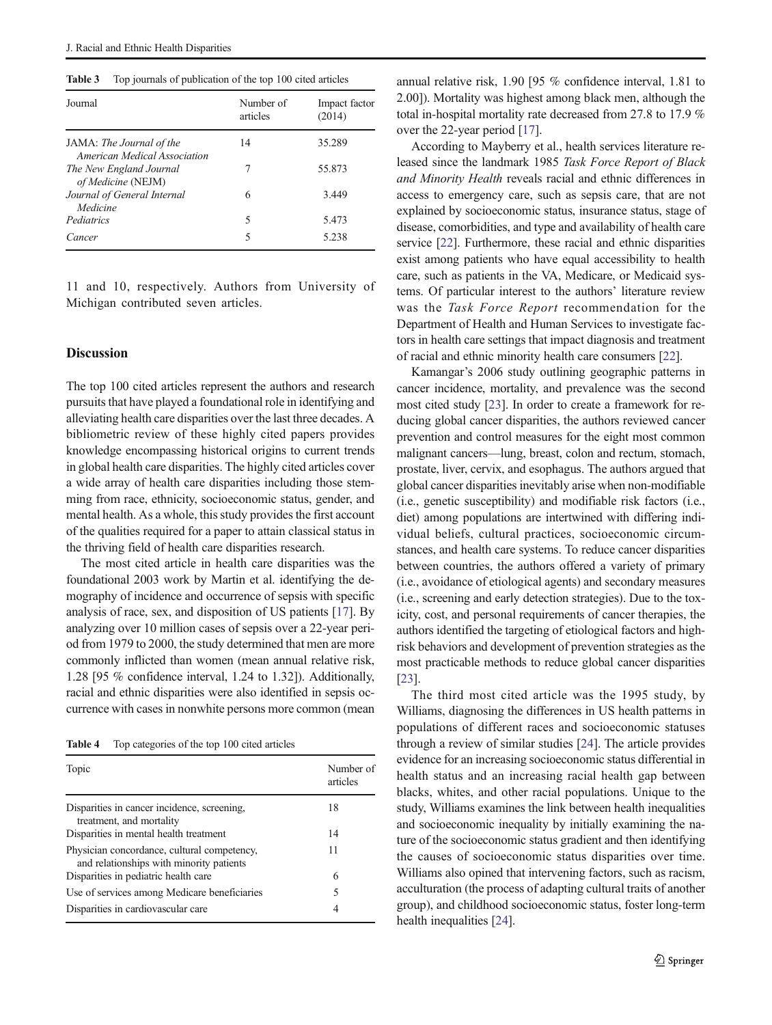<span id="page-6-0"></span>Table 3 Top journals of publication of the top 100 cited articles

| Journal                                                  | Number of<br>articles | Impact factor<br>(2014) |
|----------------------------------------------------------|-----------------------|-------------------------|
| JAMA: The Journal of the<br>American Medical Association | 14                    | 35.289                  |
| The New England Journal<br>of Medicine (NEJM)            | 7                     | 55.873                  |
| Journal of General Internal<br>Medicine                  | 6                     | 3.449                   |
| Pediatrics                                               | 5                     | 5.473                   |
| Cancer                                                   | 5                     | 5.238                   |

11 and 10, respectively. Authors from University of Michigan contributed seven articles.

# Discussion

The top 100 cited articles represent the authors and research pursuits that have played a foundational role in identifying and alleviating health care disparities over the last three decades. A bibliometric review of these highly cited papers provides knowledge encompassing historical origins to current trends in global health care disparities. The highly cited articles cover a wide array of health care disparities including those stemming from race, ethnicity, socioeconomic status, gender, and mental health. As a whole, this study provides the first account of the qualities required for a paper to attain classical status in the thriving field of health care disparities research.

The most cited article in health care disparities was the foundational 2003 work by Martin et al. identifying the demography of incidence and occurrence of sepsis with specific analysis of race, sex, and disposition of US patients [\[17](#page-10-0)]. By analyzing over 10 million cases of sepsis over a 22-year period from 1979 to 2000, the study determined that men are more commonly inflicted than women (mean annual relative risk, 1.28 [95 % confidence interval, 1.24 to 1.32]). Additionally, racial and ethnic disparities were also identified in sepsis occurrence with cases in nonwhite persons more common (mean

Table 4 Top categories of the top 100 cited articles

| Topic                                                                                   | Number of<br>articles |
|-----------------------------------------------------------------------------------------|-----------------------|
| Disparities in cancer incidence, screening,<br>treatment, and mortality                 | 18                    |
| Disparities in mental health treatment                                                  | 14                    |
| Physician concordance, cultural competency,<br>and relationships with minority patients | 11                    |
| Disparities in pediatric health care                                                    | 6                     |
| Use of services among Medicare beneficiaries                                            | 5                     |
| Disparities in cardiovascular care                                                      | 4                     |

annual relative risk, 1.90 [95 % confidence interval, 1.81 to 2.00]). Mortality was highest among black men, although the total in-hospital mortality rate decreased from 27.8 to 17.9 % over the 22-year period [\[17\]](#page-10-0).

According to Mayberry et al., health services literature released since the landmark 1985 Task Force Report of Black and Minority Health reveals racial and ethnic differences in access to emergency care, such as sepsis care, that are not explained by socioeconomic status, insurance status, stage of disease, comorbidities, and type and availability of health care service [[22\]](#page-10-0). Furthermore, these racial and ethnic disparities exist among patients who have equal accessibility to health care, such as patients in the VA, Medicare, or Medicaid systems. Of particular interest to the authors' literature review was the Task Force Report recommendation for the Department of Health and Human Services to investigate factors in health care settings that impact diagnosis and treatment of racial and ethnic minority health care consumers [[22](#page-10-0)].

Kamangar's 2006 study outlining geographic patterns in cancer incidence, mortality, and prevalence was the second most cited study [\[23\]](#page-10-0). In order to create a framework for reducing global cancer disparities, the authors reviewed cancer prevention and control measures for the eight most common malignant cancers—lung, breast, colon and rectum, stomach, prostate, liver, cervix, and esophagus. The authors argued that global cancer disparities inevitably arise when non-modifiable (i.e., genetic susceptibility) and modifiable risk factors (i.e., diet) among populations are intertwined with differing individual beliefs, cultural practices, socioeconomic circumstances, and health care systems. To reduce cancer disparities between countries, the authors offered a variety of primary (i.e., avoidance of etiological agents) and secondary measures (i.e., screening and early detection strategies). Due to the toxicity, cost, and personal requirements of cancer therapies, the authors identified the targeting of etiological factors and highrisk behaviors and development of prevention strategies as the most practicable methods to reduce global cancer disparities [\[23](#page-10-0)].

The third most cited article was the 1995 study, by Williams, diagnosing the differences in US health patterns in populations of different races and socioeconomic statuses through a review of similar studies [\[24](#page-10-0)]. The article provides evidence for an increasing socioeconomic status differential in health status and an increasing racial health gap between blacks, whites, and other racial populations. Unique to the study, Williams examines the link between health inequalities and socioeconomic inequality by initially examining the nature of the socioeconomic status gradient and then identifying the causes of socioeconomic status disparities over time. Williams also opined that intervening factors, such as racism, acculturation (the process of adapting cultural traits of another group), and childhood socioeconomic status, foster long-term health inequalities [\[24](#page-10-0)].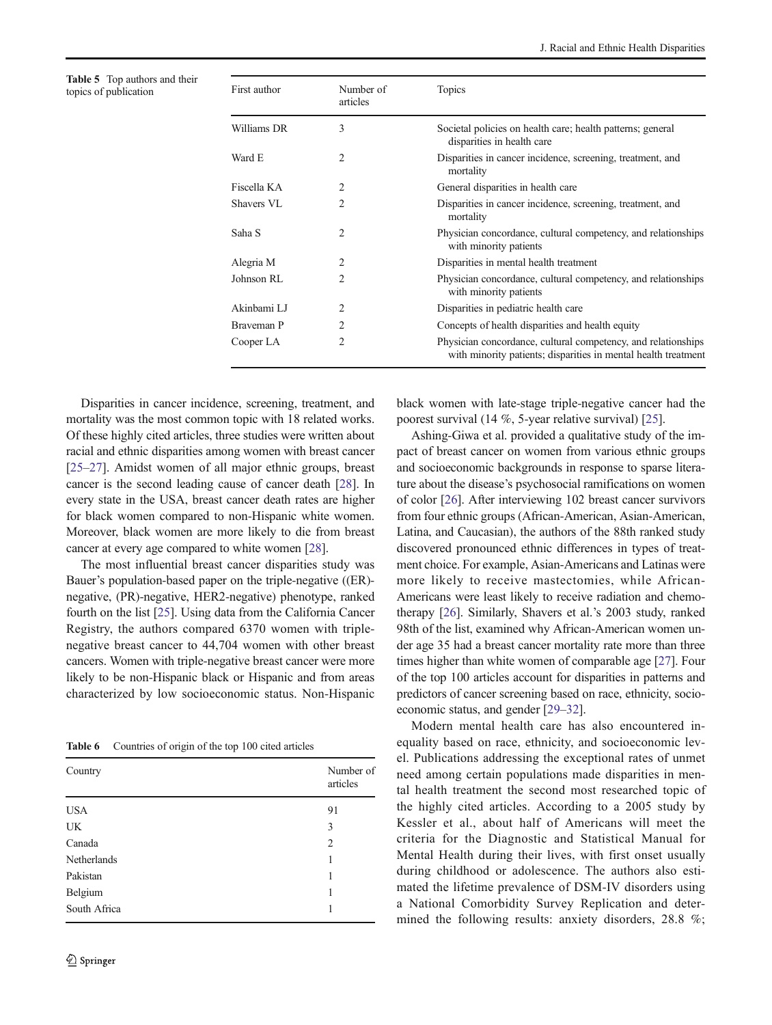<span id="page-7-0"></span>Table 5 Top authors and their topics of publication

| Number of<br>articles | <b>Topics</b>                                                                                                                   |
|-----------------------|---------------------------------------------------------------------------------------------------------------------------------|
| 3                     | Societal policies on health care; health patterns; general<br>disparities in health care                                        |
| 2                     | Disparities in cancer incidence, screening, treatment, and<br>mortality                                                         |
| $\mathfrak{D}_{1}$    | General disparities in health care                                                                                              |
| $\overline{c}$        | Disparities in cancer incidence, screening, treatment, and<br>mortality                                                         |
| 2                     | Physician concordance, cultural competency, and relationships<br>with minority patients                                         |
| 2                     | Disparities in mental health treatment                                                                                          |
| 2                     | Physician concordance, cultural competency, and relationships<br>with minority patients                                         |
| 2                     | Disparities in pediatric health care                                                                                            |
| 2                     | Concepts of health disparities and health equity                                                                                |
| $\mathfrak{D}$        | Physician concordance, cultural competency, and relationships<br>with minority patients; disparities in mental health treatment |
|                       |                                                                                                                                 |

Disparities in cancer incidence, screening, treatment, and mortality was the most common topic with 18 related works. Of these highly cited articles, three studies were written about racial and ethnic disparities among women with breast cancer [\[25](#page-10-0)–[27\]](#page-10-0). Amidst women of all major ethnic groups, breast cancer is the second leading cause of cancer death [\[28\]](#page-10-0). In every state in the USA, breast cancer death rates are higher for black women compared to non-Hispanic white women. Moreover, black women are more likely to die from breast cancer at every age compared to white women [\[28](#page-10-0)].

The most influential breast cancer disparities study was Bauer's population-based paper on the triple-negative ((ER) negative, (PR)-negative, HER2-negative) phenotype, ranked fourth on the list [[25](#page-10-0)]. Using data from the California Cancer Registry, the authors compared 6370 women with triplenegative breast cancer to 44,704 women with other breast cancers. Women with triple-negative breast cancer were more likely to be non-Hispanic black or Hispanic and from areas characterized by low socioeconomic status. Non-Hispanic

Table 6 Countries of origin of the top 100 cited articles

| Country      | Number of<br>articles |
|--------------|-----------------------|
| <b>USA</b>   | 91                    |
| UK           | 3                     |
| Canada       | 2                     |
| Netherlands  | 1                     |
| Pakistan     | 1                     |
| Belgium      | 1                     |
| South Africa | 1                     |

black women with late-stage triple-negative cancer had the poorest survival (14 %, 5-year relative survival) [\[25](#page-10-0)].

Ashing-Giwa et al. provided a qualitative study of the impact of breast cancer on women from various ethnic groups and socioeconomic backgrounds in response to sparse literature about the disease's psychosocial ramifications on women of color [\[26\]](#page-10-0). After interviewing 102 breast cancer survivors from four ethnic groups (African-American, Asian-American, Latina, and Caucasian), the authors of the 88th ranked study discovered pronounced ethnic differences in types of treatment choice. For example, Asian-Americans and Latinas were more likely to receive mastectomies, while African-Americans were least likely to receive radiation and chemotherapy [\[26\]](#page-10-0). Similarly, Shavers et al.'s 2003 study, ranked 98th of the list, examined why African-American women under age 35 had a breast cancer mortality rate more than three times higher than white women of comparable age [\[27\]](#page-10-0). Four of the top 100 articles account for disparities in patterns and predictors of cancer screening based on race, ethnicity, socioeconomic status, and gender [\[29](#page-10-0)–[32\]](#page-10-0).

Modern mental health care has also encountered inequality based on race, ethnicity, and socioeconomic level. Publications addressing the exceptional rates of unmet need among certain populations made disparities in mental health treatment the second most researched topic of the highly cited articles. According to a 2005 study by Kessler et al., about half of Americans will meet the criteria for the Diagnostic and Statistical Manual for Mental Health during their lives, with first onset usually during childhood or adolescence. The authors also estimated the lifetime prevalence of DSM-IV disorders using a National Comorbidity Survey Replication and determined the following results: anxiety disorders, 28.8 %;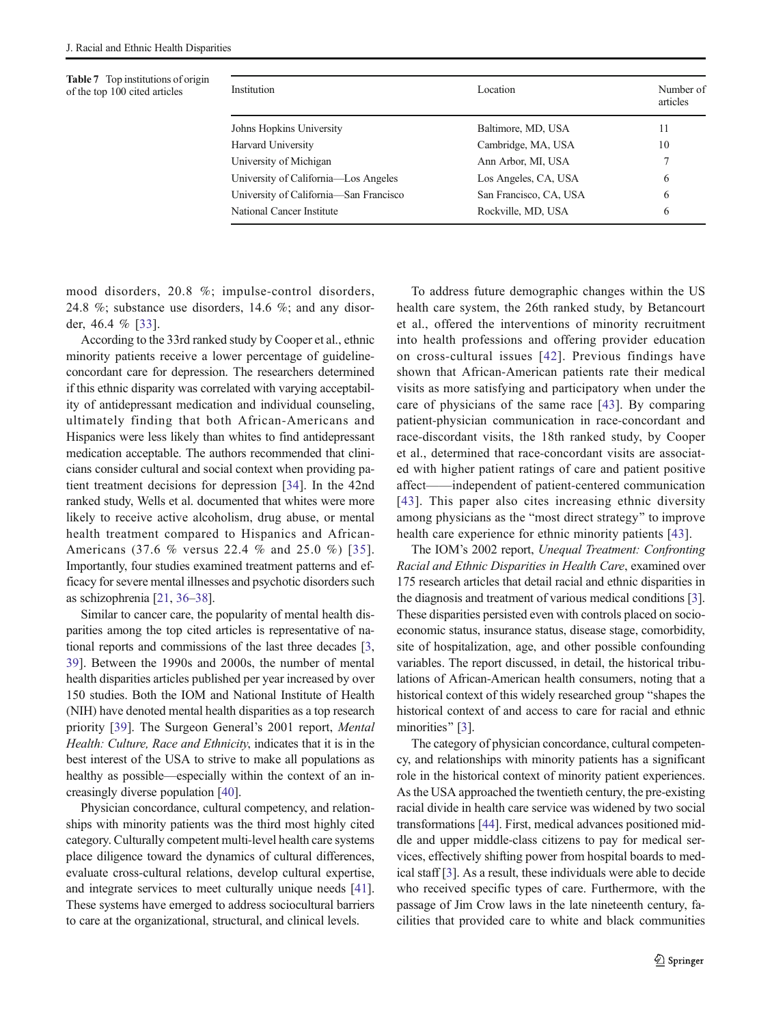<span id="page-8-0"></span>Table 7 Top institutions of origin of the top 100 cited articles

| Location               | Number of<br>articles |
|------------------------|-----------------------|
| Baltimore, MD, USA     | 11                    |
| Cambridge, MA, USA     | 10                    |
| Ann Arbor, MI, USA     | 7                     |
| Los Angeles, CA, USA   | 6                     |
| San Francisco, CA, USA | 6                     |
| Rockville, MD, USA     | 6                     |
|                        |                       |

mood disorders, 20.8 %; impulse-control disorders, 24.8 %; substance use disorders, 14.6 %; and any disorder, 46.4 % [[33\]](#page-10-0).

According to the 33rd ranked study by Cooper et al., ethnic minority patients receive a lower percentage of guidelineconcordant care for depression. The researchers determined if this ethnic disparity was correlated with varying acceptability of antidepressant medication and individual counseling, ultimately finding that both African-Americans and Hispanics were less likely than whites to find antidepressant medication acceptable. The authors recommended that clinicians consider cultural and social context when providing patient treatment decisions for depression [[34](#page-10-0)]. In the 42nd ranked study, Wells et al. documented that whites were more likely to receive active alcoholism, drug abuse, or mental health treatment compared to Hispanics and African-Americans (37.6 % versus 22.4 % and 25.0 %) [[35](#page-10-0)]. Importantly, four studies examined treatment patterns and efficacy for severe mental illnesses and psychotic disorders such as schizophrenia [\[21,](#page-10-0) [36](#page-10-0)–[38](#page-10-0)].

Similar to cancer care, the popularity of mental health disparities among the top cited articles is representative of national reports and commissions of the last three decades [[3,](#page-10-0) [39\]](#page-11-0). Between the 1990s and 2000s, the number of mental health disparities articles published per year increased by over 150 studies. Both the IOM and National Institute of Health (NIH) have denoted mental health disparities as a top research priority [\[39](#page-11-0)]. The Surgeon General's 2001 report, Mental Health: Culture, Race and Ethnicity, indicates that it is in the best interest of the USA to strive to make all populations as healthy as possible—especially within the context of an increasingly diverse population [\[40\]](#page-11-0).

Physician concordance, cultural competency, and relationships with minority patients was the third most highly cited category. Culturally competent multi-level health care systems place diligence toward the dynamics of cultural differences, evaluate cross-cultural relations, develop cultural expertise, and integrate services to meet culturally unique needs [[41\]](#page-11-0). These systems have emerged to address sociocultural barriers to care at the organizational, structural, and clinical levels.

To address future demographic changes within the US health care system, the 26th ranked study, by Betancourt et al., offered the interventions of minority recruitment into health professions and offering provider education on cross-cultural issues [[42](#page-11-0)]. Previous findings have shown that African-American patients rate their medical visits as more satisfying and participatory when under the care of physicians of the same race [[43](#page-11-0)]. By comparing patient-physician communication in race-concordant and race-discordant visits, the 18th ranked study, by Cooper et al., determined that race-concordant visits are associated with higher patient ratings of care and patient positive affect——independent of patient-centered communication [[43](#page-11-0)]. This paper also cites increasing ethnic diversity among physicians as the "most direct strategy" to improve health care experience for ethnic minority patients [\[43](#page-11-0)].

The IOM's 2002 report, Unequal Treatment: Confronting Racial and Ethnic Disparities in Health Care, examined over 175 research articles that detail racial and ethnic disparities in the diagnosis and treatment of various medical conditions [[3\]](#page-10-0). These disparities persisted even with controls placed on socioeconomic status, insurance status, disease stage, comorbidity, site of hospitalization, age, and other possible confounding variables. The report discussed, in detail, the historical tribulations of African-American health consumers, noting that a historical context of this widely researched group "shapes the historical context of and access to care for racial and ethnic minorities" [[3\]](#page-10-0).

The category of physician concordance, cultural competency, and relationships with minority patients has a significant role in the historical context of minority patient experiences. As the USA approached the twentieth century, the pre-existing racial divide in health care service was widened by two social transformations [\[44\]](#page-11-0). First, medical advances positioned middle and upper middle-class citizens to pay for medical services, effectively shifting power from hospital boards to medical staff [\[3](#page-10-0)]. As a result, these individuals were able to decide who received specific types of care. Furthermore, with the passage of Jim Crow laws in the late nineteenth century, facilities that provided care to white and black communities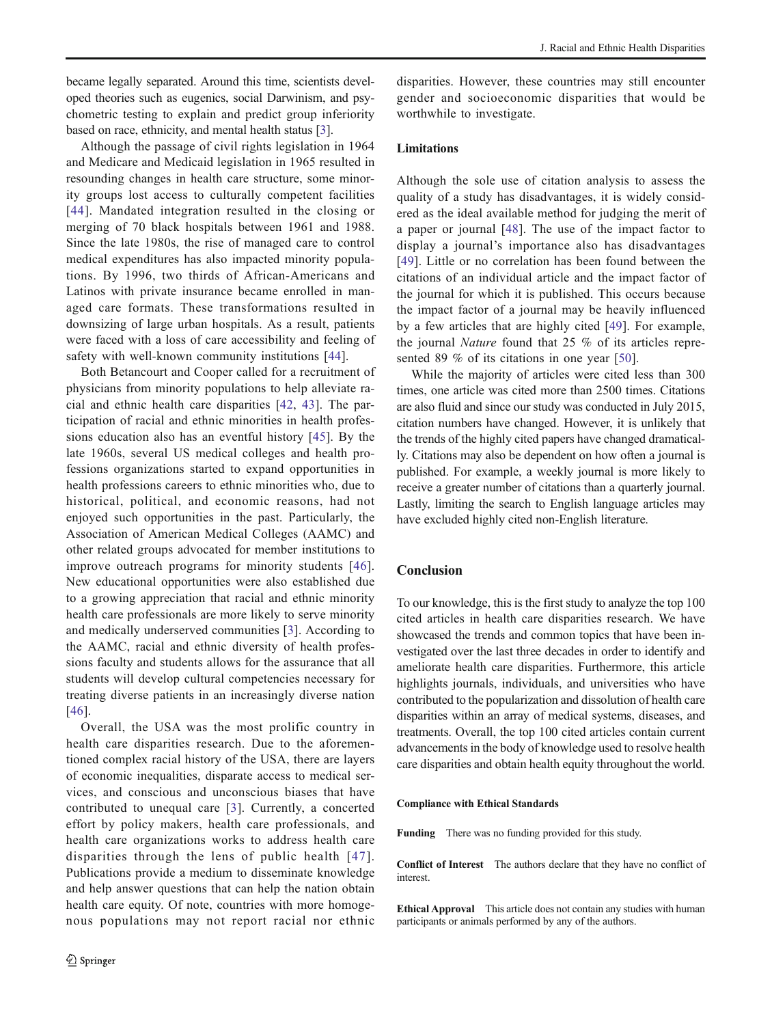became legally separated. Around this time, scientists developed theories such as eugenics, social Darwinism, and psychometric testing to explain and predict group inferiority based on race, ethnicity, and mental health status [[3\]](#page-10-0).

Although the passage of civil rights legislation in 1964 and Medicare and Medicaid legislation in 1965 resulted in resounding changes in health care structure, some minority groups lost access to culturally competent facilities [[44](#page-11-0)]. Mandated integration resulted in the closing or merging of 70 black hospitals between 1961 and 1988. Since the late 1980s, the rise of managed care to control medical expenditures has also impacted minority populations. By 1996, two thirds of African-Americans and Latinos with private insurance became enrolled in managed care formats. These transformations resulted in downsizing of large urban hospitals. As a result, patients were faced with a loss of care accessibility and feeling of safety with well-known community institutions [\[44](#page-11-0)].

Both Betancourt and Cooper called for a recruitment of physicians from minority populations to help alleviate racial and ethnic health care disparities [\[42](#page-11-0), [43](#page-11-0)]. The participation of racial and ethnic minorities in health professions education also has an eventful history [\[45\]](#page-11-0). By the late 1960s, several US medical colleges and health professions organizations started to expand opportunities in health professions careers to ethnic minorities who, due to historical, political, and economic reasons, had not enjoyed such opportunities in the past. Particularly, the Association of American Medical Colleges (AAMC) and other related groups advocated for member institutions to improve outreach programs for minority students [[46](#page-11-0)]. New educational opportunities were also established due to a growing appreciation that racial and ethnic minority health care professionals are more likely to serve minority and medically underserved communities [[3\]](#page-10-0). According to the AAMC, racial and ethnic diversity of health professions faculty and students allows for the assurance that all students will develop cultural competencies necessary for treating diverse patients in an increasingly diverse nation [\[46\]](#page-11-0).

Overall, the USA was the most prolific country in health care disparities research. Due to the aforementioned complex racial history of the USA, there are layers of economic inequalities, disparate access to medical services, and conscious and unconscious biases that have contributed to unequal care [[3](#page-10-0)]. Currently, a concerted effort by policy makers, health care professionals, and health care organizations works to address health care disparities through the lens of public health [[47\]](#page-11-0). Publications provide a medium to disseminate knowledge and help answer questions that can help the nation obtain health care equity. Of note, countries with more homogenous populations may not report racial nor ethnic disparities. However, these countries may still encounter gender and socioeconomic disparities that would be worthwhile to investigate.

# Limitations

Although the sole use of citation analysis to assess the quality of a study has disadvantages, it is widely considered as the ideal available method for judging the merit of a paper or journal [\[48](#page-11-0)]. The use of the impact factor to display a journal's importance also has disadvantages [\[49\]](#page-11-0). Little or no correlation has been found between the citations of an individual article and the impact factor of the journal for which it is published. This occurs because the impact factor of a journal may be heavily influenced by a few articles that are highly cited [\[49](#page-11-0)]. For example, the journal Nature found that 25 % of its articles represented 89 % of its citations in one year [\[50\]](#page-11-0).

While the majority of articles were cited less than 300 times, one article was cited more than 2500 times. Citations are also fluid and since our study was conducted in July 2015, citation numbers have changed. However, it is unlikely that the trends of the highly cited papers have changed dramatically. Citations may also be dependent on how often a journal is published. For example, a weekly journal is more likely to receive a greater number of citations than a quarterly journal. Lastly, limiting the search to English language articles may have excluded highly cited non-English literature.

### Conclusion

To our knowledge, this is the first study to analyze the top 100 cited articles in health care disparities research. We have showcased the trends and common topics that have been investigated over the last three decades in order to identify and ameliorate health care disparities. Furthermore, this article highlights journals, individuals, and universities who have contributed to the popularization and dissolution of health care disparities within an array of medical systems, diseases, and treatments. Overall, the top 100 cited articles contain current advancements in the body of knowledge used to resolve health care disparities and obtain health equity throughout the world.

### Compliance with Ethical Standards

Funding There was no funding provided for this study.

Conflict of Interest The authors declare that they have no conflict of interest.

Ethical Approval This article does not contain any studies with human participants or animals performed by any of the authors.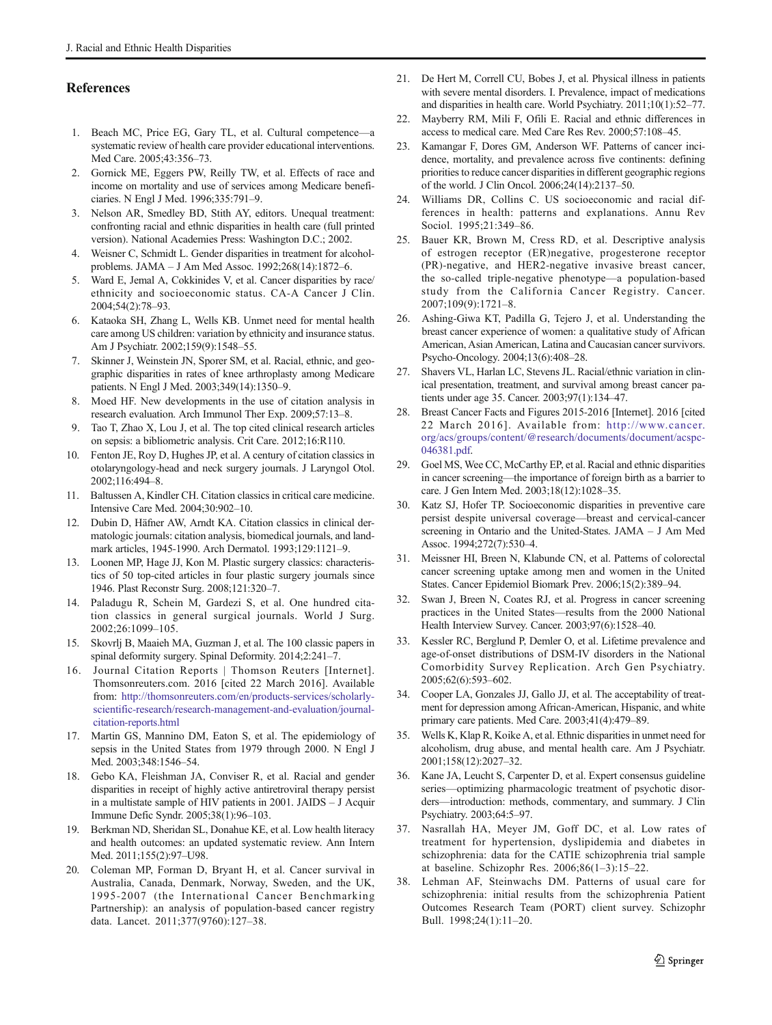# <span id="page-10-0"></span>References

- 1. Beach MC, Price EG, Gary TL, et al. Cultural competence—a systematic review of health care provider educational interventions. Med Care. 2005;43:356–73.
- 2. Gornick ME, Eggers PW, Reilly TW, et al. Effects of race and income on mortality and use of services among Medicare beneficiaries. N Engl J Med. 1996;335:791–9.
- 3. Nelson AR, Smedley BD, Stith AY, editors. Unequal treatment: confronting racial and ethnic disparities in health care (full printed version). National Academies Press: Washington D.C.; 2002.
- 4. Weisner C, Schmidt L. Gender disparities in treatment for alcoholproblems. JAMA – J Am Med Assoc. 1992;268(14):1872–6.
- 5. Ward E, Jemal A, Cokkinides V, et al. Cancer disparities by race/ ethnicity and socioeconomic status. CA-A Cancer J Clin. 2004;54(2):78–93.
- 6. Kataoka SH, Zhang L, Wells KB. Unmet need for mental health care among US children: variation by ethnicity and insurance status. Am J Psychiatr. 2002;159(9):1548–55.
- 7. Skinner J, Weinstein JN, Sporer SM, et al. Racial, ethnic, and geographic disparities in rates of knee arthroplasty among Medicare patients. N Engl J Med. 2003;349(14):1350–9.
- 8. Moed HF. New developments in the use of citation analysis in research evaluation. Arch Immunol Ther Exp. 2009;57:13–8.
- 9. Tao T, Zhao X, Lou J, et al. The top cited clinical research articles on sepsis: a bibliometric analysis. Crit Care. 2012;16:R110.
- 10. Fenton JE, Roy D, Hughes JP, et al. A century of citation classics in otolaryngology-head and neck surgery journals. J Laryngol Otol. 2002;116:494–8.
- 11. Baltussen A, Kindler CH. Citation classics in critical care medicine. Intensive Care Med. 2004;30:902–10.
- 12. Dubin D, Häfner AW, Arndt KA. Citation classics in clinical dermatologic journals: citation analysis, biomedical journals, and landmark articles, 1945-1990. Arch Dermatol. 1993;129:1121–9.
- Loonen MP, Hage JJ, Kon M. Plastic surgery classics: characteristics of 50 top-cited articles in four plastic surgery journals since 1946. Plast Reconstr Surg. 2008;121:320–7.
- 14. Paladugu R, Schein M, Gardezi S, et al. One hundred citation classics in general surgical journals. World J Surg. 2002;26:1099–105.
- 15. Skovrlj B, Maaieh MA, Guzman J, et al. The 100 classic papers in spinal deformity surgery. Spinal Deformity. 2014;2:241–7.
- 16. Journal Citation Reports | Thomson Reuters [Internet]. Thomsonreuters.com. 2016 [cited 22 March 2016]. Available from: [http://thomsonreuters.com/en/products-services/scholarly](http://thomsonreuters.com/en/products-services/scholarly-scientific-research/research-management-and-evaluation/journal-citation-reports.html)[scientific-research/research-management-and-evaluation/journal](http://thomsonreuters.com/en/products-services/scholarly-scientific-research/research-management-and-evaluation/journal-citation-reports.html)[citation-reports.html](http://thomsonreuters.com/en/products-services/scholarly-scientific-research/research-management-and-evaluation/journal-citation-reports.html)
- 17. Martin GS, Mannino DM, Eaton S, et al. The epidemiology of sepsis in the United States from 1979 through 2000. N Engl J Med. 2003;348:1546–54.
- 18. Gebo KA, Fleishman JA, Conviser R, et al. Racial and gender disparities in receipt of highly active antiretroviral therapy persist in a multistate sample of HIV patients in 2001. JAIDS – J Acquir Immune Defic Syndr. 2005;38(1):96–103.
- 19. Berkman ND, Sheridan SL, Donahue KE, et al. Low health literacy and health outcomes: an updated systematic review. Ann Intern Med. 2011;155(2):97–U98.
- 20. Coleman MP, Forman D, Bryant H, et al. Cancer survival in Australia, Canada, Denmark, Norway, Sweden, and the UK, 1995-2007 (the International Cancer Benchmarking Partnership): an analysis of population-based cancer registry data. Lancet. 2011;377(9760):127–38.
- 21. De Hert M, Correll CU, Bobes J, et al. Physical illness in patients with severe mental disorders. I. Prevalence, impact of medications and disparities in health care. World Psychiatry. 2011;10(1):52–77.
- 22. Mayberry RM, Mili F, Ofili E. Racial and ethnic differences in access to medical care. Med Care Res Rev. 2000;57:108–45.
- 23. Kamangar F, Dores GM, Anderson WF. Patterns of cancer incidence, mortality, and prevalence across five continents: defining priorities to reduce cancer disparities in different geographic regions of the world. J Clin Oncol. 2006;24(14):2137–50.
- 24. Williams DR, Collins C. US socioeconomic and racial differences in health: patterns and explanations. Annu Rev Sociol. 1995;21:349–86.
- 25. Bauer KR, Brown M, Cress RD, et al. Descriptive analysis of estrogen receptor (ER)negative, progesterone receptor (PR)-negative, and HER2-negative invasive breast cancer, the so-called triple-negative phenotype—a population-based study from the California Cancer Registry. Cancer. 2007;109(9):1721–8.
- 26. Ashing-Giwa KT, Padilla G, Tejero J, et al. Understanding the breast cancer experience of women: a qualitative study of African American, Asian American, Latina and Caucasian cancer survivors. Psycho-Oncology. 2004;13(6):408–28.
- 27. Shavers VL, Harlan LC, Stevens JL. Racial/ethnic variation in clinical presentation, treatment, and survival among breast cancer patients under age 35. Cancer. 2003;97(1):134–47.
- 28. Breast Cancer Facts and Figures 2015-2016 [Internet]. 2016 [cited 22 March 2016]. Available from: [http://www.cancer.](http://www.cancer.org/acs/groups/content/@research/documents/document/acspc-046381.pdf) [org/acs/groups/content/@research/documents/document/acspc-](http://www.cancer.org/acs/groups/content/@research/documents/document/acspc-046381.pdf)[046381.pdf.](http://www.cancer.org/acs/groups/content/@research/documents/document/acspc-046381.pdf)
- 29. Goel MS, Wee CC, McCarthy EP, et al. Racial and ethnic disparities in cancer screening—the importance of foreign birth as a barrier to care. J Gen Intern Med. 2003;18(12):1028–35.
- 30. Katz SJ, Hofer TP. Socioeconomic disparities in preventive care persist despite universal coverage—breast and cervical-cancer screening in Ontario and the United-States. JAMA – J Am Med Assoc. 1994;272(7):530–4.
- 31. Meissner HI, Breen N, Klabunde CN, et al. Patterns of colorectal cancer screening uptake among men and women in the United States. Cancer Epidemiol Biomark Prev. 2006;15(2):389–94.
- 32. Swan J, Breen N, Coates RJ, et al. Progress in cancer screening practices in the United States—results from the 2000 National Health Interview Survey. Cancer. 2003;97(6):1528–40.
- 33. Kessler RC, Berglund P, Demler O, et al. Lifetime prevalence and age-of-onset distributions of DSM-IV disorders in the National Comorbidity Survey Replication. Arch Gen Psychiatry. 2005;62(6):593–602.
- 34. Cooper LA, Gonzales JJ, Gallo JJ, et al. The acceptability of treatment for depression among African-American, Hispanic, and white primary care patients. Med Care. 2003;41(4):479–89.
- 35. Wells K, Klap R, Koike A, et al. Ethnic disparities in unmet need for alcoholism, drug abuse, and mental health care. Am J Psychiatr. 2001;158(12):2027–32.
- 36. Kane JA, Leucht S, Carpenter D, et al. Expert consensus guideline series—optimizing pharmacologic treatment of psychotic disorders—introduction: methods, commentary, and summary. J Clin Psychiatry. 2003;64:5–97.
- 37. Nasrallah HA, Meyer JM, Goff DC, et al. Low rates of treatment for hypertension, dyslipidemia and diabetes in schizophrenia: data for the CATIE schizophrenia trial sample at baseline. Schizophr Res. 2006;86(1–3):15–22.
- 38. Lehman AF, Steinwachs DM. Patterns of usual care for schizophrenia: initial results from the schizophrenia Patient Outcomes Research Team (PORT) client survey. Schizophr Bull. 1998;24(1):11–20.